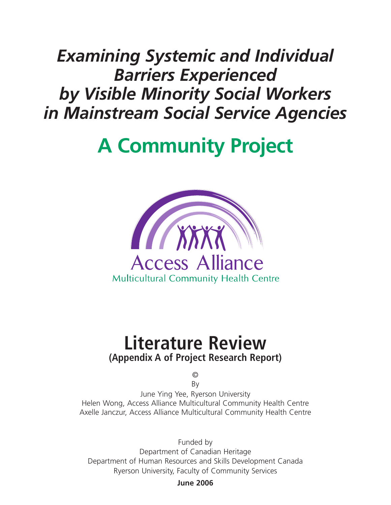## *Examining Systemic and Individual Barriers Experienced by Visible Minority Social Workers in Mainstream Social Service Agencies*

# **A Community Project**



### **Literature Review (Appendix A of Project Research Report)**

© By

June Ying Yee, Ryerson University Helen Wong, Access Alliance Multicultural Community Health Centre Axelle Janczur, Access Alliance Multicultural Community Health Centre

Funded by Department of Canadian Heritage Department of Human Resources and Skills Development Canada Ryerson University, Faculty of Community Services

**June 2006**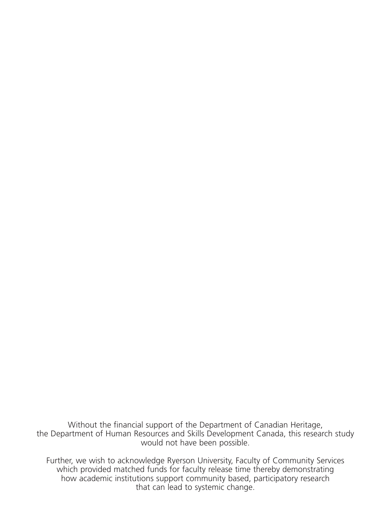Without the financial support of the Department of Canadian Heritage, the Department of Human Resources and Skills Development Canada, this research study would not have been possible.

Further, we wish to acknowledge Ryerson University, Faculty of Community Services which provided matched funds for faculty release time thereby demonstrating how academic institutions support community based, participatory research that can lead to systemic change.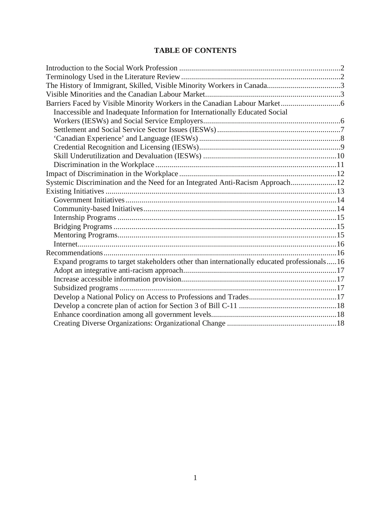#### **TABLE OF CONTENTS**

| Inaccessible and Inadequate Information for Internationally Educated Social                |  |
|--------------------------------------------------------------------------------------------|--|
|                                                                                            |  |
|                                                                                            |  |
|                                                                                            |  |
|                                                                                            |  |
|                                                                                            |  |
|                                                                                            |  |
|                                                                                            |  |
| Systemic Discrimination and the Need for an Integrated Anti-Racism Approach12              |  |
|                                                                                            |  |
|                                                                                            |  |
|                                                                                            |  |
|                                                                                            |  |
|                                                                                            |  |
|                                                                                            |  |
|                                                                                            |  |
|                                                                                            |  |
| Expand programs to target stakeholders other than internationally educated professionals16 |  |
|                                                                                            |  |
|                                                                                            |  |
|                                                                                            |  |
|                                                                                            |  |
|                                                                                            |  |
|                                                                                            |  |
|                                                                                            |  |
|                                                                                            |  |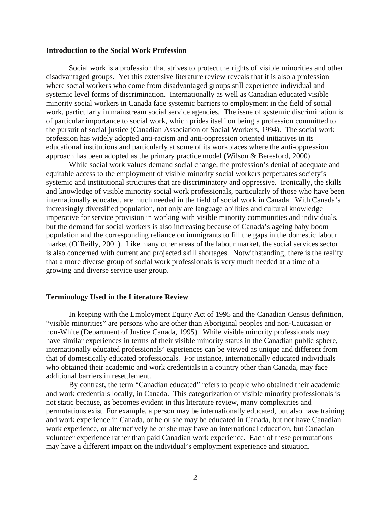#### **Introduction to the Social Work Profession**

Social work is a profession that strives to protect the rights of visible minorities and other disadvantaged groups. Yet this extensive literature review reveals that it is also a profession where social workers who come from disadvantaged groups still experience individual and systemic level forms of discrimination. Internationally as well as Canadian educated visible minority social workers in Canada face systemic barriers to employment in the field of social work, particularly in mainstream social service agencies. The issue of systemic discrimination is of particular importance to social work, which prides itself on being a profession committed to the pursuit of social justice (Canadian Association of Social Workers, 1994). The social work profession has widely adopted anti-racism and anti-oppression oriented initiatives in its educational institutions and particularly at some of its workplaces where the anti-oppression approach has been adopted as the primary practice model (Wilson & Beresford, 2000).

While social work values demand social change, the profession's denial of adequate and equitable access to the employment of visible minority social workers perpetuates society's systemic and institutional structures that are discriminatory and oppressive. Ironically, the skills and knowledge of visible minority social work professionals, particularly of those who have been internationally educated, are much needed in the field of social work in Canada. With Canada's increasingly diversified population, not only are language abilities and cultural knowledge imperative for service provision in working with visible minority communities and individuals, but the demand for social workers is also increasing because of Canada's ageing baby boom population and the corresponding reliance on immigrants to fill the gaps in the domestic labour market (O'Reilly, 2001). Like many other areas of the labour market, the social services sector is also concerned with current and projected skill shortages. Notwithstanding, there is the reality that a more diverse group of social work professionals is very much needed at a time of a growing and diverse service user group.

#### **Terminology Used in the Literature Review**

In keeping with the Employment Equity Act of 1995 and the Canadian Census definition, "visible minorities" are persons who are other than Aboriginal peoples and non-Caucasian or non-White (Department of Justice Canada, 1995). While visible minority professionals may have similar experiences in terms of their visible minority status in the Canadian public sphere, internationally educated professionals' experiences can be viewed as unique and different from that of domestically educated professionals. For instance, internationally educated individuals who obtained their academic and work credentials in a country other than Canada, may face additional barriers in resettlement.

By contrast, the term "Canadian educated" refers to people who obtained their academic and work credentials locally, in Canada. This categorization of visible minority professionals is not static because, as becomes evident in this literature review, many complexities and permutations exist. For example, a person may be internationally educated, but also have training and work experience in Canada, or he or she may be educated in Canada, but not have Canadian work experience, or alternatively he or she may have an international education, but Canadian volunteer experience rather than paid Canadian work experience. Each of these permutations may have a different impact on the individual's employment experience and situation.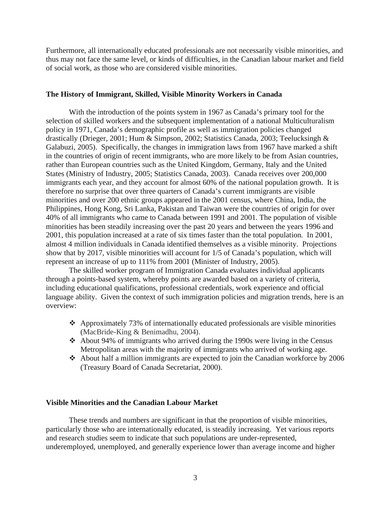Furthermore, all internationally educated professionals are not necessarily visible minorities, and thus may not face the same level, or kinds of difficulties, in the Canadian labour market and field of social work, as those who are considered visible minorities.

#### **The History of Immigrant, Skilled, Visible Minority Workers in Canada**

With the introduction of the points system in 1967 as Canada's primary tool for the selection of skilled workers and the subsequent implementation of a national Multiculturalism policy in 1971, Canada's demographic profile as well as immigration policies changed drastically (Drieger, 2001; Hum & Simpson, 2002; Statistics Canada, 2003; Teelucksingh & Galabuzi, 2005). Specifically, the changes in immigration laws from 1967 have marked a shift in the countries of origin of recent immigrants, who are more likely to be from Asian countries, rather than European countries such as the United Kingdom, Germany, Italy and the United States (Ministry of Industry, 2005; Statistics Canada, 2003). Canada receives over 200,000 immigrants each year, and they account for almost 60% of the national population growth. It is therefore no surprise that over three quarters of Canada's current immigrants are visible minorities and over 200 ethnic groups appeared in the 2001 census, where China, India, the Philippines, Hong Kong, Sri Lanka, Pakistan and Taiwan were the countries of origin for over 40% of all immigrants who came to Canada between 1991 and 2001. The population of visible minorities has been steadily increasing over the past 20 years and between the years 1996 and 2001, this population increased at a rate of six times faster than the total population. In 2001, almost 4 million individuals in Canada identified themselves as a visible minority. Projections show that by 2017, visible minorities will account for 1/5 of Canada's population, which will represent an increase of up to 111% from 2001 (Minister of Industry, 2005).

The skilled worker program of Immigration Canada evaluates individual applicants through a points-based system, whereby points are awarded based on a variety of criteria, including educational qualifications, professional credentials, work experience and official language ability. Given the context of such immigration policies and migration trends, here is an overview:

- $\triangle$  Approximately 73% of internationally educated professionals are visible minorities (MacBride-King & Benimadhu, 2004).
- About 94% of immigrants who arrived during the 1990s were living in the Census Metropolitan areas with the majority of immigrants who arrived of working age.
- About half a million immigrants are expected to join the Canadian workforce by 2006 (Treasury Board of Canada Secretariat, 2000).

#### **Visible Minorities and the Canadian Labour Market**

These trends and numbers are significant in that the proportion of visible minorities, particularly those who are internationally educated, is steadily increasing. Yet various reports and research studies seem to indicate that such populations are under-represented, underemployed, unemployed, and generally experience lower than average income and higher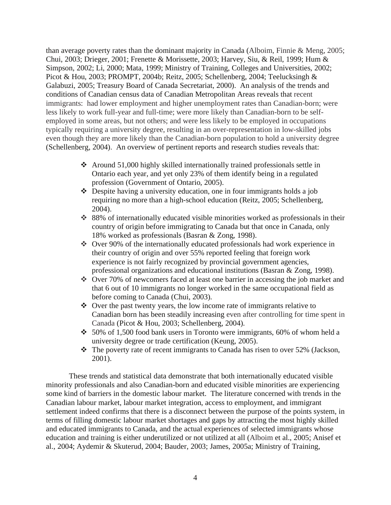than average poverty rates than the dominant majority in Canada (Alboim, Finnie & Meng, 2005; Chui, 2003; Drieger, 2001; Frenette & Morissette, 2003; Harvey, Siu, & Reil, 1999; Hum & Simpson, 2002; Li, 2000; Mata, 1999; Ministry of Training, Colleges and Universities, 2002; Picot & Hou, 2003; PROMPT, 2004b; Reitz, 2005; Schellenberg, 2004; Teelucksingh & Galabuzi, 2005; Treasury Board of Canada Secretariat, 2000). An analysis of the trends and conditions of Canadian census data of Canadian Metropolitan Areas reveals that recent immigrants: had lower employment and higher unemployment rates than Canadian-born; were less likely to work full-year and full-time; were more likely than Canadian-born to be selfemployed in some areas, but not others; and were less likely to be employed in occupations typically requiring a university degree, resulting in an over-representation in low-skilled jobs even though they are more likely than the Canadian-born population to hold a university degree (Schellenberg, 2004). An overview of pertinent reports and research studies reveals that:

- Around 51,000 highly skilled internationally trained professionals settle in Ontario each year, and yet only 23% of them identify being in a regulated profession (Government of Ontario, 2005).
- $\triangle$  Despite having a university education, one in four immigrants holds a job requiring no more than a high-school education (Reitz, 2005; Schellenberg, 2004).
- 88% of internationally educated visible minorities worked as professionals in their country of origin before immigrating to Canada but that once in Canada, only 18% worked as professionals (Basran & Zong, 1998).
- Over 90% of the internationally educated professionals had work experience in their country of origin and over 55% reported feeling that foreign work experience is not fairly recognized by provincial government agencies, professional organizations and educational institutions (Basran & Zong, 1998).
- Over 70% of newcomers faced at least one barrier in accessing the job market and that 6 out of 10 immigrants no longer worked in the same occupational field as before coming to Canada (Chui, 2003).
- $\triangle$  Over the past twenty years, the low income rate of immigrants relative to Canadian born has been steadily increasing even after controlling for time spent in Canada (Picot & Hou, 2003; Schellenberg, 2004).
- $\div$  50% of 1,500 food bank users in Toronto were immigrants, 60% of whom held a university degree or trade certification (Keung, 2005).
- $\cdot \cdot$  The poverty rate of recent immigrants to Canada has risen to over 52% (Jackson, 2001).

These trends and statistical data demonstrate that both internationally educated visible minority professionals and also Canadian-born and educated visible minorities are experiencing some kind of barriers in the domestic labour market. The literature concerned with trends in the Canadian labour market, labour market integration, access to employment, and immigrant settlement indeed confirms that there is a disconnect between the purpose of the points system, in terms of filling domestic labour market shortages and gaps by attracting the most highly skilled and educated immigrants to Canada, and the actual experiences of selected immigrants whose education and training is either underutilized or not utilized at all (Alboim et al., 2005; Anisef et al., 2004; Aydemir & Skuterud, 2004; Bauder, 2003; James, 2005a; Ministry of Training,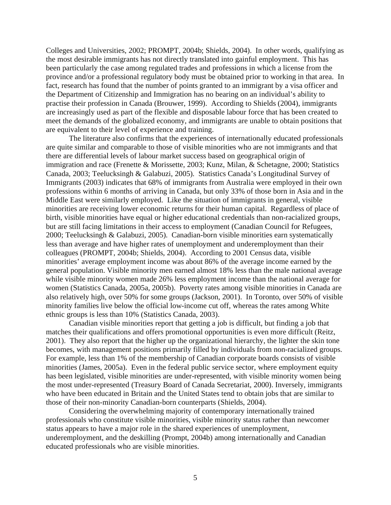Colleges and Universities, 2002; PROMPT, 2004b; Shields, 2004). In other words, qualifying as the most desirable immigrants has not directly translated into gainful employment. This has been particularly the case among regulated trades and professions in which a license from the province and/or a professional regulatory body must be obtained prior to working in that area. In fact, research has found that the number of points granted to an immigrant by a visa officer and the Department of Citizenship and Immigration has no bearing on an individual's ability to practise their profession in Canada (Brouwer, 1999). According to Shields (2004), immigrants are increasingly used as part of the flexible and disposable labour force that has been created to meet the demands of the globalized economy, and immigrants are unable to obtain positions that are equivalent to their level of experience and training.

 The literature also confirms that the experiences of internationally educated professionals are quite similar and comparable to those of visible minorities who are not immigrants and that there are differential levels of labour market success based on geographical origin of immigration and race (Frenette & Morissette, 2003; Kunz, Milan, & Schetagne, 2000; Statistics Canada, 2003; Teelucksingh & Galabuzi, 2005). Statistics Canada's Longitudinal Survey of Immigrants (2003) indicates that 68% of immigrants from Australia were employed in their own professions within 6 months of arriving in Canada, but only 33% of those born in Asia and in the Middle East were similarly employed. Like the situation of immigrants in general, visible minorities are receiving lower economic returns for their human capital. Regardless of place of birth, visible minorities have equal or higher educational credentials than non-racialized groups, but are still facing limitations in their access to employment (Canadian Council for Refugees, 2000; Teelucksingh & Galabuzi, 2005). Canadian-born visible minorities earn systematically less than average and have higher rates of unemployment and underemployment than their colleagues (PROMPT, 2004b; Shields, 2004). According to 2001 Census data, visible minorities' average employment income was about 86% of the average income earned by the general population. Visible minority men earned almost 18% less than the male national average while visible minority women made 26% less employment income than the national average for women (Statistics Canada, 2005a, 2005b). Poverty rates among visible minorities in Canada are also relatively high, over 50% for some groups (Jackson, 2001). In Toronto, over 50% of visible minority families live below the official low-income cut off, whereas the rates among White ethnic groups is less than 10% (Statistics Canada, 2003).

Canadian visible minorities report that getting a job is difficult, but finding a job that matches their qualifications and offers promotional opportunities is even more difficult (Reitz, 2001). They also report that the higher up the organizational hierarchy, the lighter the skin tone becomes, with management positions primarily filled by individuals from non-racialized groups. For example, less than 1% of the membership of Canadian corporate boards consists of visible minorities (James, 2005a). Even in the federal public service sector, where employment equity has been legislated, visible minorities are under-represented, with visible minority women being the most under-represented (Treasury Board of Canada Secretariat, 2000). Inversely, immigrants who have been educated in Britain and the United States tend to obtain jobs that are similar to those of their non-minority Canadian-born counterparts (Shields, 2004).

Considering the overwhelming majority of contemporary internationally trained professionals who constitute visible minorities, visible minority status rather than newcomer status appears to have a major role in the shared experiences of unemployment, underemployment, and the deskilling (Prompt, 2004b) among internationally and Canadian educated professionals who are visible minorities.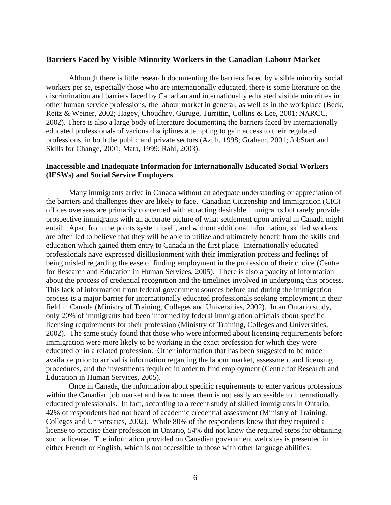#### **Barriers Faced by Visible Minority Workers in the Canadian Labour Market**

Although there is little research documenting the barriers faced by visible minority social workers per se, especially those who are internationally educated, there is some literature on the discrimination and barriers faced by Canadian and internationally educated visible minorities in other human service professions, the labour market in general, as well as in the workplace (Beck, Reitz & Weiner, 2002; Hagey, Choudhry, Guruge, Turrittin, Collins & Lee, 2001; NARCC, 2002). There is also a large body of literature documenting the barriers faced by internationally educated professionals of various disciplines attempting to gain access to their regulated professions, in both the public and private sectors (Azuh, 1998; Graham, 2001; JobStart and Skills for Change, 2001; Mata, 1999; Rahi, 2003).

#### **Inaccessible and Inadequate Information for Internationally Educated Social Workers (IESWs) and Social Service Employers**

Many immigrants arrive in Canada without an adequate understanding or appreciation of the barriers and challenges they are likely to face. Canadian Citizenship and Immigration (CIC) offices overseas are primarily concerned with attracting desirable immigrants but rarely provide prospective immigrants with an accurate picture of what settlement upon arrival in Canada might entail. Apart from the points system itself, and without additional information, skilled workers are often led to believe that they will be able to utilize and ultimately benefit from the skills and education which gained them entry to Canada in the first place. Internationally educated professionals have expressed disillusionment with their immigration process and feelings of being misled regarding the ease of finding employment in the profession of their choice (Centre for Research and Education in Human Services, 2005). There is also a paucity of information about the process of credential recognition and the timelines involved in undergoing this process. This lack of information from federal government sources before and during the immigration process is a major barrier for internationally educated professionals seeking employment in their field in Canada (Ministry of Training, Colleges and Universities, 2002). In an Ontario study, only 20% of immigrants had been informed by federal immigration officials about specific licensing requirements for their profession (Ministry of Training, Colleges and Universities, 2002). The same study found that those who were informed about licensing requirements before immigration were more likely to be working in the exact profession for which they were educated or in a related profession. Other information that has been suggested to be made available prior to arrival is information regarding the labour market, assessment and licensing procedures, and the investments required in order to find employment (Centre for Research and Education in Human Services, 2005).

Once in Canada, the information about specific requirements to enter various professions within the Canadian job market and how to meet them is not easily accessible to internationally educated professionals. In fact, according to a recent study of skilled immigrants in Ontario, 42% of respondents had not heard of academic credential assessment (Ministry of Training, Colleges and Universities, 2002). While 80% of the respondents knew that they required a license to practise their profession in Ontario, 54% did not know the required steps for obtaining such a license. The information provided on Canadian government web sites is presented in either French or English, which is not accessible to those with other language abilities.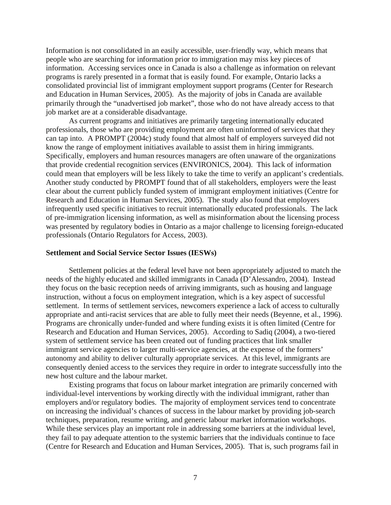Information is not consolidated in an easily accessible, user-friendly way, which means that people who are searching for information prior to immigration may miss key pieces of information. Accessing services once in Canada is also a challenge as information on relevant programs is rarely presented in a format that is easily found. For example, Ontario lacks a consolidated provincial list of immigrant employment support programs (Center for Research and Education in Human Services, 2005). As the majority of jobs in Canada are available primarily through the "unadvertised job market", those who do not have already access to that job market are at a considerable disadvantage.

As current programs and initiatives are primarily targeting internationally educated professionals, those who are providing employment are often uninformed of services that they can tap into. A PROMPT (2004c) study found that almost half of employers surveyed did not know the range of employment initiatives available to assist them in hiring immigrants. Specifically, employers and human resources managers are often unaware of the organizations that provide credential recognition services (ENVIRONICS, 2004). This lack of information could mean that employers will be less likely to take the time to verify an applicant's credentials. Another study conducted by PROMPT found that of all stakeholders, employers were the least clear about the current publicly funded system of immigrant employment initiatives (Centre for Research and Education in Human Services, 2005). The study also found that employers infrequently used specific initiatives to recruit internationally educated professionals. The lack of pre-immigration licensing information, as well as misinformation about the licensing process was presented by regulatory bodies in Ontario as a major challenge to licensing foreign-educated professionals (Ontario Regulators for Access, 2003).

#### **Settlement and Social Service Sector Issues (IESWs)**

Settlement policies at the federal level have not been appropriately adjusted to match the needs of the highly educated and skilled immigrants in Canada (D'Alessandro, 2004). Instead they focus on the basic reception needs of arriving immigrants, such as housing and language instruction, without a focus on employment integration, which is a key aspect of successful settlement. In terms of settlement services, newcomers experience a lack of access to culturally appropriate and anti-racist services that are able to fully meet their needs (Beyenne, et al., 1996). Programs are chronically under-funded and where funding exists it is often limited (Centre for Research and Education and Human Services, 2005). According to Sadiq (2004), a two-tiered system of settlement service has been created out of funding practices that link smaller immigrant service agencies to larger multi-service agencies, at the expense of the formers' autonomy and ability to deliver culturally appropriate services. At this level, immigrants are consequently denied access to the services they require in order to integrate successfully into the new host culture and the labour market.

Existing programs that focus on labour market integration are primarily concerned with individual-level interventions by working directly with the individual immigrant, rather than employers and/or regulatory bodies. The majority of employment services tend to concentrate on increasing the individual's chances of success in the labour market by providing job-search techniques, preparation, resume writing, and generic labour market information workshops. While these services play an important role in addressing some barriers at the individual level, they fail to pay adequate attention to the systemic barriers that the individuals continue to face (Centre for Research and Education and Human Services, 2005). That is, such programs fail in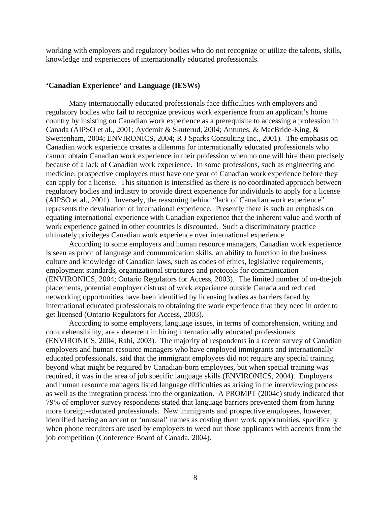working with employers and regulatory bodies who do not recognize or utilize the talents, skills, knowledge and experiences of internationally educated professionals.

#### **'Canadian Experience' and Language (IESWs)**

 Many internationally educated professionals face difficulties with employers and regulatory bodies who fail to recognize previous work experience from an applicant's home country by insisting on Canadian work experience as a prerequisite to accessing a profession in Canada (AIPSO et al., 2001; Aydemir & Skuterud, 2004; Antunes, & MacBride-King, & Swettenham, 2004; ENVIRONICS, 2004; R J Sparks Consulting Inc., 2001). The emphasis on Canadian work experience creates a dilemma for internationally educated professionals who cannot obtain Canadian work experience in their profession when no one will hire them precisely because of a lack of Canadian work experience. In some professions, such as engineering and medicine, prospective employees must have one year of Canadian work experience before they can apply for a license. This situation is intensified as there is no coordinated approach between regulatory bodies and industry to provide direct experience for individuals to apply for a license (AIPSO et al., 2001). Inversely, the reasoning behind "lack of Canadian work experience" represents the devaluation of international experience. Presently there is such an emphasis on equating international experience with Canadian experience that the inherent value and worth of work experience gained in other countries is discounted. Such a discriminatory practice ultimately privileges Canadian work experience over international experience.

According to some employers and human resource managers, Canadian work experience is seen as proof of language and communication skills, an ability to function in the business culture and knowledge of Canadian laws, such as codes of ethics, legislative requirements, employment standards, organizational structures and protocols for communication (ENVIRONICS, 2004; Ontario Regulators for Access, 2003). The limited number of on-the-job placements, potential employer distrust of work experience outside Canada and reduced networking opportunities have been identified by licensing bodies as barriers faced by international educated professionals to obtaining the work experience that they need in order to get licensed (Ontario Regulators for Access, 2003).

According to some employers, language issues, in terms of comprehension, writing and comprehensibility, are a deterrent in hiring internationally educated professionals (ENVIRONICS, 2004; Rahi, 2003). The majority of respondents in a recent survey of Canadian employers and human resource managers who have employed immigrants and internationally educated professionals, said that the immigrant employees did not require any special training beyond what might be required by Canadian-born employees, but when special training was required, it was in the area of job specific language skills (ENVIRONICS, 2004). Employers and human resource managers listed language difficulties as arising in the interviewing process as well as the integration process into the organization. A PROMPT (2004c) study indicated that 79% of employer survey respondents stated that language barriers prevented them from hiring more foreign-educated professionals. New immigrants and prospective employees, however, identified having an accent or 'unusual' names as costing them work opportunities, specifically when phone recruiters are used by employers to weed out those applicants with accents from the job competition (Conference Board of Canada, 2004).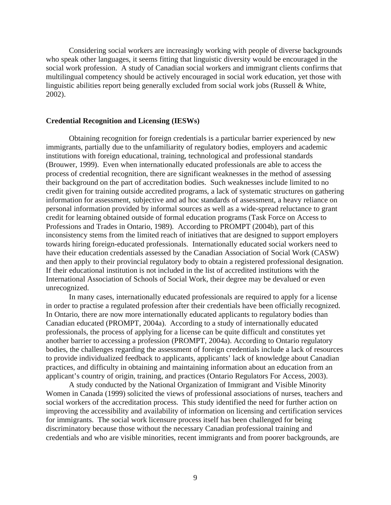Considering social workers are increasingly working with people of diverse backgrounds who speak other languages, it seems fitting that linguistic diversity would be encouraged in the social work profession. A study of Canadian social workers and immigrant clients confirms that multilingual competency should be actively encouraged in social work education, yet those with linguistic abilities report being generally excluded from social work jobs (Russell & White, 2002).

#### **Credential Recognition and Licensing (IESWs)**

Obtaining recognition for foreign credentials is a particular barrier experienced by new immigrants, partially due to the unfamiliarity of regulatory bodies, employers and academic institutions with foreign educational, training, technological and professional standards (Brouwer, 1999). Even when internationally educated professionals are able to access the process of credential recognition, there are significant weaknesses in the method of assessing their background on the part of accreditation bodies. Such weaknesses include limited to no credit given for training outside accredited programs, a lack of systematic structures on gathering information for assessment, subjective and ad hoc standards of assessment, a heavy reliance on personal information provided by informal sources as well as a wide-spread reluctance to grant credit for learning obtained outside of formal education programs (Task Force on Access to Professions and Trades in Ontario, 1989). According to PROMPT (2004b), part of this inconsistency stems from the limited reach of initiatives that are designed to support employers towards hiring foreign-educated professionals. Internationally educated social workers need to have their education credentials assessed by the Canadian Association of Social Work (CASW) and then apply to their provincial regulatory body to obtain a registered professional designation. If their educational institution is not included in the list of accredited institutions with the International Association of Schools of Social Work, their degree may be devalued or even unrecognized.

 In many cases, internationally educated professionals are required to apply for a license in order to practise a regulated profession after their credentials have been officially recognized. In Ontario, there are now more internationally educated applicants to regulatory bodies than Canadian educated (PROMPT, 2004a). According to a study of internationally educated professionals, the process of applying for a license can be quite difficult and constitutes yet another barrier to accessing a profession (PROMPT, 2004a). According to Ontario regulatory bodies, the challenges regarding the assessment of foreign credentials include a lack of resources to provide individualized feedback to applicants, applicants' lack of knowledge about Canadian practices, and difficulty in obtaining and maintaining information about an education from an applicant's country of origin, training, and practices (Ontario Regulators For Access, 2003).

 A study conducted by the National Organization of Immigrant and Visible Minority Women in Canada (1999) solicited the views of professional associations of nurses, teachers and social workers of the accreditation process. This study identified the need for further action on improving the accessibility and availability of information on licensing and certification services for immigrants. The social work licensure process itself has been challenged for being discriminatory because those without the necessary Canadian professional training and credentials and who are visible minorities, recent immigrants and from poorer backgrounds, are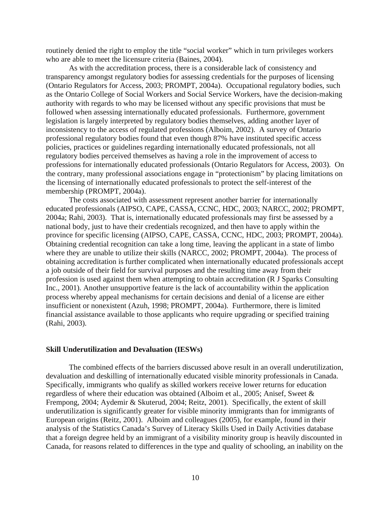routinely denied the right to employ the title "social worker" which in turn privileges workers who are able to meet the licensure criteria (Baines, 2004).

 As with the accreditation process, there is a considerable lack of consistency and transparency amongst regulatory bodies for assessing credentials for the purposes of licensing (Ontario Regulators for Access, 2003; PROMPT, 2004a). Occupational regulatory bodies, such as the Ontario College of Social Workers and Social Service Workers, have the decision-making authority with regards to who may be licensed without any specific provisions that must be followed when assessing internationally educated professionals. Furthermore, government legislation is largely interpreted by regulatory bodies themselves, adding another layer of inconsistency to the access of regulated professions (Alboim, 2002). A survey of Ontario professional regulatory bodies found that even though 87% have instituted specific access policies, practices or guidelines regarding internationally educated professionals, not all regulatory bodies perceived themselves as having a role in the improvement of access to professions for internationally educated professionals (Ontario Regulators for Access, 2003). On the contrary, many professional associations engage in "protectionism" by placing limitations on the licensing of internationally educated professionals to protect the self-interest of the membership (PROMPT, 2004a).

 The costs associated with assessment represent another barrier for internationally educated professionals (AIPSO, CAPE, CASSA, CCNC, HDC, 2003; NARCC, 2002; PROMPT, 2004a; Rahi, 2003). That is, internationally educated professionals may first be assessed by a national body, just to have their credentials recognized, and then have to apply within the province for specific licensing (AIPSO, CAPE, CASSA, CCNC, HDC, 2003; PROMPT, 2004a). Obtaining credential recognition can take a long time, leaving the applicant in a state of limbo where they are unable to utilize their skills (NARCC, 2002; PROMPT, 2004a). The process of obtaining accreditation is further complicated when internationally educated professionals accept a job outside of their field for survival purposes and the resulting time away from their profession is used against them when attempting to obtain accreditation (R J Sparks Consulting Inc., 2001). Another unsupportive feature is the lack of accountability within the application process whereby appeal mechanisms for certain decisions and denial of a license are either insufficient or nonexistent (Azuh, 1998; PROMPT, 2004a). Furthermore, there is limited financial assistance available to those applicants who require upgrading or specified training (Rahi, 2003).

#### **Skill Underutilization and Devaluation (IESWs)**

The combined effects of the barriers discussed above result in an overall underutilization, devaluation and deskilling of internationally educated visible minority professionals in Canada. Specifically, immigrants who qualify as skilled workers receive lower returns for education regardless of where their education was obtained (Alboim et al., 2005; Anisef, Sweet & Frempong, 2004; Aydemir & Skuterud, 2004; Reitz, 2001). Specifically, the extent of skill underutilization is significantly greater for visible minority immigrants than for immigrants of European origins (Reitz, 2001). Alboim and colleagues (2005), for example, found in their analysis of the Statistics Canada's Survey of Literacy Skills Used in Daily Activities database that a foreign degree held by an immigrant of a visibility minority group is heavily discounted in Canada, for reasons related to differences in the type and quality of schooling, an inability on the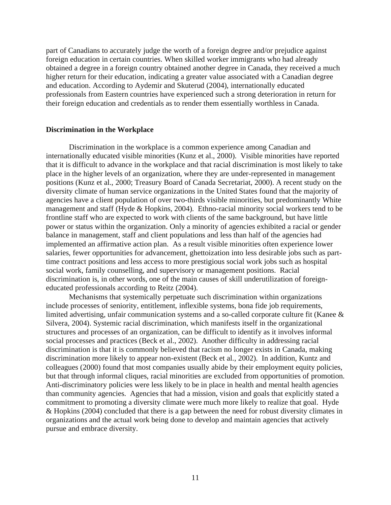part of Canadians to accurately judge the worth of a foreign degree and/or prejudice against foreign education in certain countries. When skilled worker immigrants who had already obtained a degree in a foreign country obtained another degree in Canada, they received a much higher return for their education, indicating a greater value associated with a Canadian degree and education. According to Aydemir and Skuterud (2004), internationally educated professionals from Eastern countries have experienced such a strong deterioration in return for their foreign education and credentials as to render them essentially worthless in Canada.

#### **Discrimination in the Workplace**

Discrimination in the workplace is a common experience among Canadian and internationally educated visible minorities (Kunz et al., 2000). Visible minorities have reported that it is difficult to advance in the workplace and that racial discrimination is most likely to take place in the higher levels of an organization, where they are under-represented in management positions (Kunz et al., 2000; Treasury Board of Canada Secretariat, 2000). A recent study on the diversity climate of human service organizations in the United States found that the majority of agencies have a client population of over two-thirds visible minorities, but predominantly White management and staff (Hyde & Hopkins, 2004). Ethno-racial minority social workers tend to be frontline staff who are expected to work with clients of the same background, but have little power or status within the organization. Only a minority of agencies exhibited a racial or gender balance in management, staff and client populations and less than half of the agencies had implemented an affirmative action plan. As a result visible minorities often experience lower salaries, fewer opportunities for advancement, ghettoization into less desirable jobs such as parttime contract positions and less access to more prestigious social work jobs such as hospital social work, family counselling, and supervisory or management positions. Racial discrimination is, in other words, one of the main causes of skill underutilization of foreigneducated professionals according to Reitz (2004).

Mechanisms that systemically perpetuate such discrimination within organizations include processes of seniority, entitlement, inflexible systems, bona fide job requirements, limited advertising, unfair communication systems and a so-called corporate culture fit (Kanee & Silvera, 2004). Systemic racial discrimination, which manifests itself in the organizational structures and processes of an organization, can be difficult to identify as it involves informal social processes and practices (Beck et al., 2002). Another difficulty in addressing racial discrimination is that it is commonly believed that racism no longer exists in Canada, making discrimination more likely to appear non-existent (Beck et al., 2002). In addition, Kuntz and colleagues (2000) found that most companies usually abide by their employment equity policies, but that through informal cliques, racial minorities are excluded from opportunities of promotion. Anti-discriminatory policies were less likely to be in place in health and mental health agencies than community agencies. Agencies that had a mission, vision and goals that explicitly stated a commitment to promoting a diversity climate were much more likely to realize that goal. Hyde & Hopkins (2004) concluded that there is a gap between the need for robust diversity climates in organizations and the actual work being done to develop and maintain agencies that actively pursue and embrace diversity.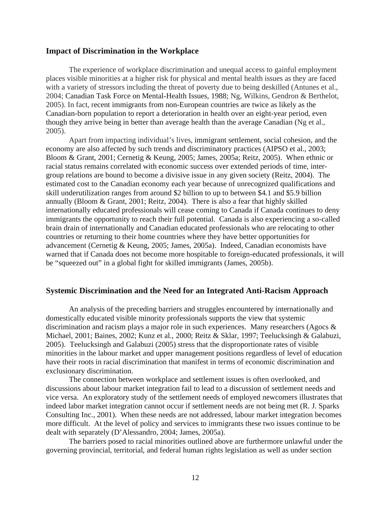#### **Impact of Discrimination in the Workplace**

The experience of workplace discrimination and unequal access to gainful employment places visible minorities at a higher risk for physical and mental health issues as they are faced with a variety of stressors including the threat of poverty due to being deskilled (Antunes et al., 2004; Canadian Task Force on Mental-Health Issues, 1988; Ng, Wilkins, Gendron & Berthelot, 2005). In fact, recent immigrants from non-European countries are twice as likely as the Canadian-born population to report a deterioration in health over an eight-year period, even though they arrive being in better than average health than the average Canadian (Ng et al., 2005).

Apart from impacting individual's lives, immigrant settlement, social cohesion, and the economy are also affected by such trends and discriminatory practices (AIPSO et al., 2003; Bloom & Grant, 2001; Cernetig & Keung, 2005; James, 2005a; Reitz, 2005). When ethnic or racial status remains correlated with economic success over extended periods of time, intergroup relations are bound to become a divisive issue in any given society (Reitz, 2004). The estimated cost to the Canadian economy each year because of unrecognized qualifications and skill underutilization ranges from around \$2 billion to up to between \$4.1 and \$5.9 billion annually (Bloom & Grant, 2001; Reitz, 2004). There is also a fear that highly skilled internationally educated professionals will cease coming to Canada if Canada continues to deny immigrants the opportunity to reach their full potential. Canada is also experiencing a so-called brain drain of internationally and Canadian educated professionals who are relocating to other countries or returning to their home countries where they have better opportunities for advancement (Cernetig & Keung, 2005; James, 2005a). Indeed, Canadian economists have warned that if Canada does not become more hospitable to foreign-educated professionals, it will be "squeezed out" in a global fight for skilled immigrants (James, 2005b).

#### **Systemic Discrimination and the Need for an Integrated Anti-Racism Approach**

An analysis of the preceding barriers and struggles encountered by internationally and domestically educated visible minority professionals supports the view that systemic discrimination and racism plays a major role in such experiences. Many researchers (Agocs & Michael, 2001; Baines, 2002; Kunz et al., 2000; Reitz & Sklar, 1997; Teelucksingh & Galabuzi, 2005). Teelucksingh and Galabuzi (2005) stress that the disproportionate rates of visible minorities in the labour market and upper management positions regardless of level of education have their roots in racial discrimination that manifest in terms of economic discrimination and exclusionary discrimination.

The connection between workplace and settlement issues is often overlooked, and discussions about labour market integration fail to lead to a discussion of settlement needs and vice versa. An exploratory study of the settlement needs of employed newcomers illustrates that indeed labor market integration cannot occur if settlement needs are not being met (R. J. Sparks Consulting Inc., 2001). When these needs are not addressed, labour market integration becomes more difficult. At the level of policy and services to immigrants these two issues continue to be dealt with separately (D'Alessandro, 2004; James, 2005a).

The barriers posed to racial minorities outlined above are furthermore unlawful under the governing provincial, territorial, and federal human rights legislation as well as under section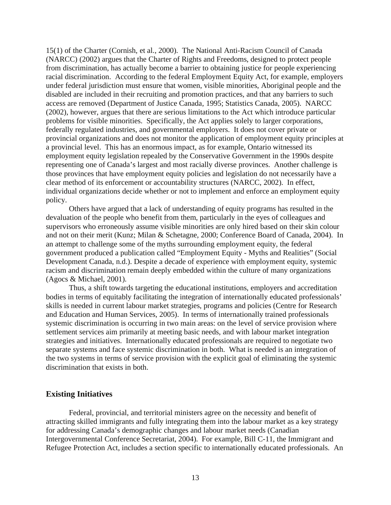15(1) of the Charter (Cornish, et al., 2000). The National Anti-Racism Council of Canada (NARCC) (2002) argues that the Charter of Rights and Freedoms, designed to protect people from discrimination, has actually become a barrier to obtaining justice for people experiencing racial discrimination. According to the federal Employment Equity Act, for example, employers under federal jurisdiction must ensure that women, visible minorities, Aboriginal people and the disabled are included in their recruiting and promotion practices, and that any barriers to such access are removed (Department of Justice Canada, 1995; Statistics Canada, 2005). NARCC (2002), however, argues that there are serious limitations to the Act which introduce particular problems for visible minorities. Specifically, the Act applies solely to larger corporations, federally regulated industries, and governmental employers. It does not cover private or provincial organizations and does not monitor the application of employment equity principles at a provincial level. This has an enormous impact, as for example, Ontario witnessed its employment equity legislation repealed by the Conservative Government in the 1990s despite representing one of Canada's largest and most racially diverse provinces. Another challenge is those provinces that have employment equity policies and legislation do not necessarily have a clear method of its enforcement or accountability structures (NARCC, 2002). In effect, individual organizations decide whether or not to implement and enforce an employment equity policy.

Others have argued that a lack of understanding of equity programs has resulted in the devaluation of the people who benefit from them, particularly in the eyes of colleagues and supervisors who erroneously assume visible minorities are only hired based on their skin colour and not on their merit (Kunz; Milan & Schetagne, 2000; Conference Board of Canada, 2004). In an attempt to challenge some of the myths surrounding employment equity, the federal government produced a publication called "Employment Equity - Myths and Realities" (Social Development Canada, n.d.). Despite a decade of experience with employment equity, systemic racism and discrimination remain deeply embedded within the culture of many organizations (Agocs & Michael, 2001).

Thus, a shift towards targeting the educational institutions, employers and accreditation bodies in terms of equitably facilitating the integration of internationally educated professionals' skills is needed in current labour market strategies, programs and policies (Centre for Research and Education and Human Services, 2005). In terms of internationally trained professionals systemic discrimination is occurring in two main areas: on the level of service provision where settlement services aim primarily at meeting basic needs, and with labour market integration strategies and initiatives. Internationally educated professionals are required to negotiate two separate systems and face systemic discrimination in both. What is needed is an integration of the two systems in terms of service provision with the explicit goal of eliminating the systemic discrimination that exists in both.

#### **Existing Initiatives**

Federal, provincial, and territorial ministers agree on the necessity and benefit of attracting skilled immigrants and fully integrating them into the labour market as a key strategy for addressing Canada's demographic changes and labour market needs (Canadian Intergovernmental Conference Secretariat, 2004). For example, Bill C-11, the Immigrant and Refugee Protection Act, includes a section specific to internationally educated professionals. An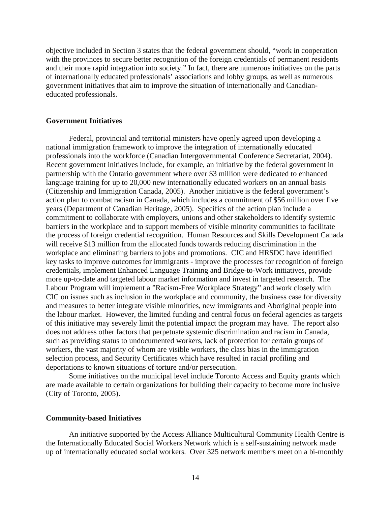objective included in Section 3 states that the federal government should, "work in cooperation with the provinces to secure better recognition of the foreign credentials of permanent residents and their more rapid integration into society." In fact, there are numerous initiatives on the parts of internationally educated professionals' associations and lobby groups, as well as numerous government initiatives that aim to improve the situation of internationally and Canadianeducated professionals.

#### **Government Initiatives**

Federal, provincial and territorial ministers have openly agreed upon developing a national immigration framework to improve the integration of internationally educated professionals into the workforce (Canadian Intergovernmental Conference Secretariat, 2004). Recent government initiatives include, for example, an initiative by the federal government in partnership with the Ontario government where over \$3 million were dedicated to enhanced language training for up to 20,000 new internationally educated workers on an annual basis (Citizenship and Immigration Canada, 2005). Another initiative is the federal government's action plan to combat racism in Canada, which includes a commitment of \$56 million over five years (Department of Canadian Heritage, 2005). Specifics of the action plan include a commitment to collaborate with employers, unions and other stakeholders to identify systemic barriers in the workplace and to support members of visible minority communities to facilitate the process of foreign credential recognition. Human Resources and Skills Development Canada will receive \$13 million from the allocated funds towards reducing discrimination in the workplace and eliminating barriers to jobs and promotions. CIC and HRSDC have identified key tasks to improve outcomes for immigrants - improve the processes for recognition of foreign credentials, implement Enhanced Language Training and Bridge-to-Work initiatives, provide more up-to-date and targeted labour market information and invest in targeted research. The Labour Program will implement a "Racism-Free Workplace Strategy" and work closely with CIC on issues such as inclusion in the workplace and community, the business case for diversity and measures to better integrate visible minorities, new immigrants and Aboriginal people into the labour market. However, the limited funding and central focus on federal agencies as targets of this initiative may severely limit the potential impact the program may have. The report also does not address other factors that perpetuate systemic discrimination and racism in Canada, such as providing status to undocumented workers, lack of protection for certain groups of workers, the vast majority of whom are visible workers, the class bias in the immigration selection process, and Security Certificates which have resulted in racial profiling and deportations to known situations of torture and/or persecution.

Some initiatives on the municipal level include Toronto Access and Equity grants which are made available to certain organizations for building their capacity to become more inclusive (City of Toronto, 2005).

#### **Community-based Initiatives**

An initiative supported by the Access Alliance Multicultural Community Health Centre is the Internationally Educated Social Workers Network which is a self-sustaining network made up of internationally educated social workers. Over 325 network members meet on a bi-monthly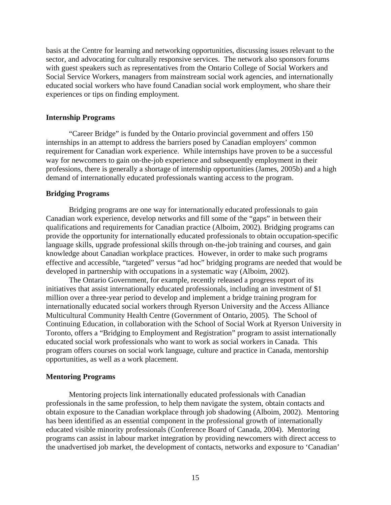basis at the Centre for learning and networking opportunities, discussing issues relevant to the sector, and advocating for culturally responsive services. The network also sponsors forums with guest speakers such as representatives from the Ontario College of Social Workers and Social Service Workers, managers from mainstream social work agencies, and internationally educated social workers who have found Canadian social work employment, who share their experiences or tips on finding employment.

#### **Internship Programs**

"Career Bridge" is funded by the Ontario provincial government and offers 150 internships in an attempt to address the barriers posed by Canadian employers' common requirement for Canadian work experience. While internships have proven to be a successful way for newcomers to gain on-the-job experience and subsequently employment in their professions, there is generally a shortage of internship opportunities (James, 2005b) and a high demand of internationally educated professionals wanting access to the program.

#### **Bridging Programs**

Bridging programs are one way for internationally educated professionals to gain Canadian work experience, develop networks and fill some of the "gaps" in between their qualifications and requirements for Canadian practice (Alboim, 2002). Bridging programs can provide the opportunity for internationally educated professionals to obtain occupation-specific language skills, upgrade professional skills through on-the-job training and courses, and gain knowledge about Canadian workplace practices. However, in order to make such programs effective and accessible, "targeted" versus "ad hoc" bridging programs are needed that would be developed in partnership with occupations in a systematic way (Alboim, 2002).

The Ontario Government, for example, recently released a progress report of its initiatives that assist internationally educated professionals, including an investment of \$1 million over a three-year period to develop and implement a bridge training program for internationally educated social workers through Ryerson University and the Access Alliance Multicultural Community Health Centre (Government of Ontario, 2005). The School of Continuing Education, in collaboration with the School of Social Work at Ryerson University in Toronto, offers a "Bridging to Employment and Registration" program to assist internationally educated social work professionals who want to work as social workers in Canada. This program offers courses on social work language, culture and practice in Canada, mentorship opportunities, as well as a work placement.

#### **Mentoring Programs**

 Mentoring projects link internationally educated professionals with Canadian professionals in the same profession, to help them navigate the system, obtain contacts and obtain exposure to the Canadian workplace through job shadowing (Alboim, 2002). Mentoring has been identified as an essential component in the professional growth of internationally educated visible minority professionals (Conference Board of Canada, 2004). Mentoring programs can assist in labour market integration by providing newcomers with direct access to the unadvertised job market, the development of contacts, networks and exposure to 'Canadian'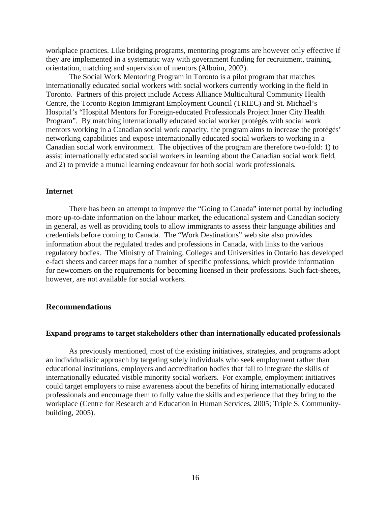workplace practices. Like bridging programs, mentoring programs are however only effective if they are implemented in a systematic way with government funding for recruitment, training, orientation, matching and supervision of mentors (Alboim, 2002).

The Social Work Mentoring Program in Toronto is a pilot program that matches internationally educated social workers with social workers currently working in the field in Toronto. Partners of this project include Access Alliance Multicultural Community Health Centre, the Toronto Region Immigrant Employment Council (TRIEC) and St. Michael's Hospital's "Hospital Mentors for Foreign-educated Professionals Project Inner City Health Program". By matching internationally educated social worker protégés with social work mentors working in a Canadian social work capacity, the program aims to increase the protégés' networking capabilities and expose internationally educated social workers to working in a Canadian social work environment. The objectives of the program are therefore two-fold: 1) to assist internationally educated social workers in learning about the Canadian social work field, and 2) to provide a mutual learning endeavour for both social work professionals.

#### **Internet**

There has been an attempt to improve the "Going to Canada" internet portal by including more up-to-date information on the labour market, the educational system and Canadian society in general, as well as providing tools to allow immigrants to assess their language abilities and credentials before coming to Canada. The "Work Destinations" web site also provides information about the regulated trades and professions in Canada, with links to the various regulatory bodies. The Ministry of Training, Colleges and Universities in Ontario has developed e-fact sheets and career maps for a number of specific professions, which provide information for newcomers on the requirements for becoming licensed in their professions. Such fact-sheets, however, are not available for social workers.

#### **Recommendations**

#### **Expand programs to target stakeholders other than internationally educated professionals**

 As previously mentioned, most of the existing initiatives, strategies, and programs adopt an individualistic approach by targeting solely individuals who seek employment rather than educational institutions, employers and accreditation bodies that fail to integrate the skills of internationally educated visible minority social workers. For example, employment initiatives could target employers to raise awareness about the benefits of hiring internationally educated professionals and encourage them to fully value the skills and experience that they bring to the workplace (Centre for Research and Education in Human Services, 2005; Triple S. Communitybuilding, 2005).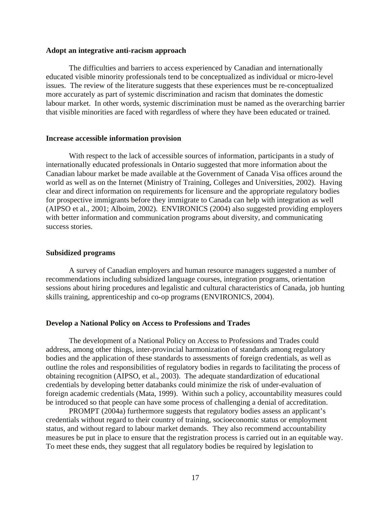#### **Adopt an integrative anti-racism approach**

The difficulties and barriers to access experienced by Canadian and internationally educated visible minority professionals tend to be conceptualized as individual or micro-level issues. The review of the literature suggests that these experiences must be re-conceptualized more accurately as part of systemic discrimination and racism that dominates the domestic labour market. In other words, systemic discrimination must be named as the overarching barrier that visible minorities are faced with regardless of where they have been educated or trained.

#### **Increase accessible information provision**

 With respect to the lack of accessible sources of information, participants in a study of internationally educated professionals in Ontario suggested that more information about the Canadian labour market be made available at the Government of Canada Visa offices around the world as well as on the Internet (Ministry of Training, Colleges and Universities, 2002). Having clear and direct information on requirements for licensure and the appropriate regulatory bodies for prospective immigrants before they immigrate to Canada can help with integration as well (AIPSO et al., 2001; Alboim, 2002). ENVIRONICS (2004) also suggested providing employers with better information and communication programs about diversity, and communicating success stories.

#### **Subsidized programs**

 A survey of Canadian employers and human resource managers suggested a number of recommendations including subsidized language courses, integration programs, orientation sessions about hiring procedures and legalistic and cultural characteristics of Canada, job hunting skills training, apprenticeship and co-op programs (ENVIRONICS, 2004).

#### **Develop a National Policy on Access to Professions and Trades**

 The development of a National Policy on Access to Professions and Trades could address, among other things, inter-provincial harmonization of standards among regulatory bodies and the application of these standards to assessments of foreign credentials, as well as outline the roles and responsibilities of regulatory bodies in regards to facilitating the process of obtaining recognition (AIPSO, et al., 2003). The adequate standardization of educational credentials by developing better databanks could minimize the risk of under-evaluation of foreign academic credentials (Mata, 1999). Within such a policy, accountability measures could be introduced so that people can have some process of challenging a denial of accreditation.

PROMPT (2004a) furthermore suggests that regulatory bodies assess an applicant's credentials without regard to their country of training, socioeconomic status or employment status, and without regard to labour market demands. They also recommend accountability measures be put in place to ensure that the registration process is carried out in an equitable way. To meet these ends, they suggest that all regulatory bodies be required by legislation to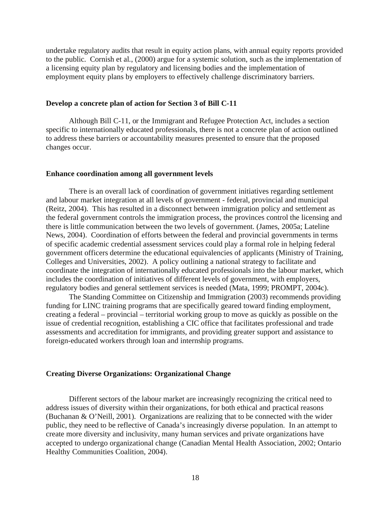undertake regulatory audits that result in equity action plans, with annual equity reports provided to the public. Cornish et al., (2000) argue for a systemic solution, such as the implementation of a licensing equity plan by regulatory and licensing bodies and the implementation of employment equity plans by employers to effectively challenge discriminatory barriers.

#### **Develop a concrete plan of action for Section 3 of Bill C-11**

 Although Bill C-11, or the Immigrant and Refugee Protection Act, includes a section specific to internationally educated professionals, there is not a concrete plan of action outlined to address these barriers or accountability measures presented to ensure that the proposed changes occur.

#### **Enhance coordination among all government levels**

There is an overall lack of coordination of government initiatives regarding settlement and labour market integration at all levels of government - federal, provincial and municipal (Reitz, 2004). This has resulted in a disconnect between immigration policy and settlement as the federal government controls the immigration process, the provinces control the licensing and there is little communication between the two levels of government. (James, 2005a; Lateline News, 2004). Coordination of efforts between the federal and provincial governments in terms of specific academic credential assessment services could play a formal role in helping federal government officers determine the educational equivalencies of applicants (Ministry of Training, Colleges and Universities, 2002). A policy outlining a national strategy to facilitate and coordinate the integration of internationally educated professionals into the labour market, which includes the coordination of initiatives of different levels of government, with employers, regulatory bodies and general settlement services is needed (Mata, 1999; PROMPT, 2004c).

The Standing Committee on Citizenship and Immigration (2003) recommends providing funding for LINC training programs that are specifically geared toward finding employment, creating a federal – provincial – territorial working group to move as quickly as possible on the issue of credential recognition, establishing a CIC office that facilitates professional and trade assessments and accreditation for immigrants, and providing greater support and assistance to foreign-educated workers through loan and internship programs.

#### **Creating Diverse Organizations: Organizational Change**

 Different sectors of the labour market are increasingly recognizing the critical need to address issues of diversity within their organizations, for both ethical and practical reasons (Buchanan & O'Neill, 2001). Organizations are realizing that to be connected with the wider public, they need to be reflective of Canada's increasingly diverse population. In an attempt to create more diversity and inclusivity, many human services and private organizations have accepted to undergo organizational change (Canadian Mental Health Association, 2002; Ontario Healthy Communities Coalition, 2004).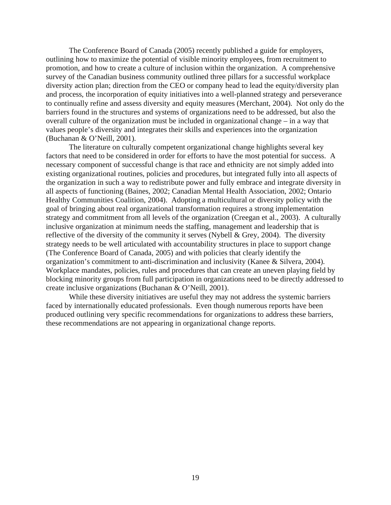The Conference Board of Canada (2005) recently published a guide for employers, outlining how to maximize the potential of visible minority employees, from recruitment to promotion, and how to create a culture of inclusion within the organization. A comprehensive survey of the Canadian business community outlined three pillars for a successful workplace diversity action plan; direction from the CEO or company head to lead the equity/diversity plan and process, the incorporation of equity initiatives into a well-planned strategy and perseverance to continually refine and assess diversity and equity measures (Merchant, 2004). Not only do the barriers found in the structures and systems of organizations need to be addressed, but also the overall culture of the organization must be included in organizational change – in a way that values people's diversity and integrates their skills and experiences into the organization (Buchanan & O'Neill, 2001).

 The literature on culturally competent organizational change highlights several key factors that need to be considered in order for efforts to have the most potential for success. A necessary component of successful change is that race and ethnicity are not simply added into existing organizational routines, policies and procedures, but integrated fully into all aspects of the organization in such a way to redistribute power and fully embrace and integrate diversity in all aspects of functioning (Baines, 2002; Canadian Mental Health Association, 2002; Ontario Healthy Communities Coalition, 2004). Adopting a multicultural or diversity policy with the goal of bringing about real organizational transformation requires a strong implementation strategy and commitment from all levels of the organization (Creegan et al., 2003). A culturally inclusive organization at minimum needs the staffing, management and leadership that is reflective of the diversity of the community it serves (Nybell & Grey, 2004). The diversity strategy needs to be well articulated with accountability structures in place to support change (The Conference Board of Canada, 2005) and with policies that clearly identify the organization's commitment to anti-discrimination and inclusivity (Kanee & Silvera, 2004). Workplace mandates, policies, rules and procedures that can create an uneven playing field by blocking minority groups from full participation in organizations need to be directly addressed to create inclusive organizations (Buchanan & O'Neill, 2001).

 While these diversity initiatives are useful they may not address the systemic barriers faced by internationally educated professionals. Even though numerous reports have been produced outlining very specific recommendations for organizations to address these barriers, these recommendations are not appearing in organizational change reports.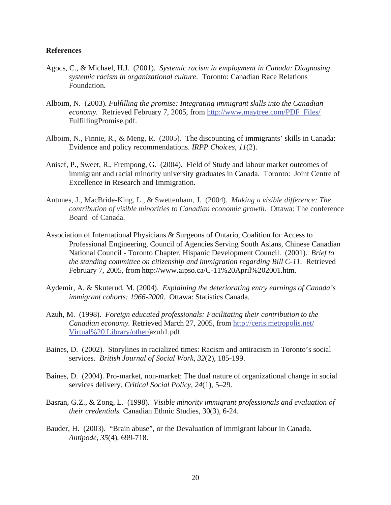#### **References**

- Agocs, C., & Michael, H.J. (2001). *Systemic racism in employment in Canada: Diagnosing systemic racism in organizational culture*. Toronto: Canadian Race Relations Foundation.
- Alboim, N. (2003). *Fulfilling the promise: Integrating immigrant skills into the Canadian economy.* Retrieved February 7, 2005, from http://www.maytree.com/PDF\_Files/ FulfillingPromise.pdf.
- Alboim, N., Finnie, R., & Meng, R. (2005). The discounting of immigrants' skills in Canada: Evidence and policy recommendations. *IRPP Choices, 11*(2).
- Anisef, P., Sweet, R., Frempong, G. (2004). Field of Study and labour market outcomes of immigrant and racial minority university graduates in Canada. Toronto: Joint Centre of Excellence in Research and Immigration.
- Antunes, J., MacBride-King, L., & Swettenham, J. (2004). *Making a visible difference: The contribution of visible minorities to Canadian economic growth*. Ottawa: The conference Board of Canada.
- Association of International Physicians & Surgeons of Ontario, Coalition for Access to Professional Engineering, Council of Agencies Serving South Asians, Chinese Canadian National Council - Toronto Chapter, Hispanic Development Council. (2001). *Brief to the standing committee on citizenship and immigration regarding Bill C-11.* Retrieved February 7, 2005, from http://www.aipso.ca/C-11%20April%202001.htm.
- Aydemir, A. & Skuterud, M. (2004). *Explaining the deteriorating entry earnings of Canada's immigrant cohorts: 1966-2000*. Ottawa: Statistics Canada.
- Azuh, M. (1998). *Foreign educated professionals: Facilitating their contribution to the Canadian economy.* Retrieved March 27, 2005, from http://ceris.metropolis.net/ Virtual%20 Library/other/azuh1.pdf.
- Baines, D. (2002). Storylines in racialized times: Racism and antiracism in Toronto's social services. *British Journal of Social Work, 32*(2), 185-199.
- Baines, D. (2004). Pro-market, non-market: The dual nature of organizational change in social services delivery. *Critical Social Policy, 24*(1), 5–29.
- Basran, G.Z., & Zong, L. (1998). *Visible minority immigrant professionals and evaluation of their credentials.* Canadian Ethnic Studies, 30(3), 6-24.
- Bauder, H. (2003). "Brain abuse", or the Devaluation of immigrant labour in Canada. *Antipode, 35*(4), 699-718.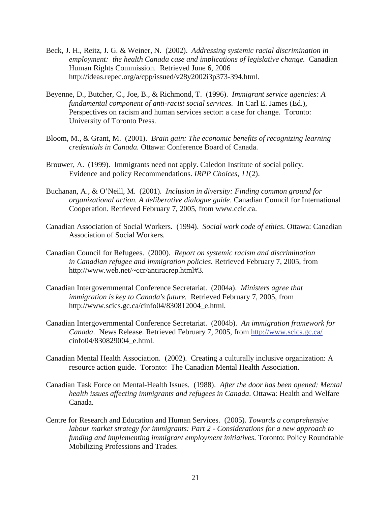- Beck, J. H., Reitz, J. G. & Weiner, N. (2002). *Addressing systemic racial discrimination in employment: the health Canada case and implications of legislative change.* Canadian Human Rights Commission. Retrieved June 6, 2006 http://ideas.repec.org/a/cpp/issued/v28y2002i3p373-394.html.
- Beyenne, D., Butcher, C., Joe, B., & Richmond, T. (1996). *Immigrant service agencies: A fundamental component of anti-racist social services.* In Carl E. James (Ed.), Perspectives on racism and human services sector: a case for change. Toronto: University of Toronto Press.
- Bloom, M., & Grant, M. (2001). *Brain gain: The economic benefits of recognizing learning credentials in Canada.* Ottawa: Conference Board of Canada.
- Brouwer, A. (1999). Immigrants need not apply. Caledon Institute of social policy. Evidence and policy Recommendations. *IRPP Choices, 11*(2).
- Buchanan, A., & O'Neill, M. (2001). *Inclusion in diversity: Finding common ground for organizational action. A deliberative dialogue guide*. Canadian Council for International Cooperation. Retrieved February 7, 2005, from www.ccic.ca.
- Canadian Association of Social Workers. (1994). *Social work code of ethics*. Ottawa: Canadian Association of Social Workers.
- Canadian Council for Refugees. (2000). *Report on systemic racism and discrimination in Canadian refugee and immigration policies*. Retrieved February 7, 2005, from http://www.web.net/~ccr/antiracrep.html#3.
- Canadian Intergovernmental Conference Secretariat. (2004a). *Ministers agree that immigration is key to Canada's future.* Retrieved February 7, 2005, from http://www.scics.gc.ca/cinfo04/830812004\_e.html.
- Canadian Intergovernmental Conference Secretariat. (2004b). *An immigration framework for Canada*. News Release. Retrieved February 7, 2005, from http://www.scics.gc.ca/ cinfo04/830829004\_e.html.
- Canadian Mental Health Association. (2002). Creating a culturally inclusive organization: A resource action guide. Toronto: The Canadian Mental Health Association.
- Canadian Task Force on Mental-Health Issues. (1988). *After the door has been opened: Mental health issues affecting immigrants and refugees in Canada*. Ottawa: Health and Welfare Canada.
- Centre for Research and Education and Human Services. (2005). *Towards a comprehensive labour market strategy for immigrants: Part 2 - Considerations for a new approach to funding and implementing immigrant employment initiatives*. Toronto: Policy Roundtable Mobilizing Professions and Trades.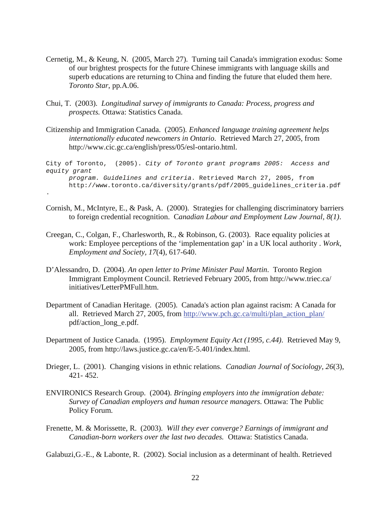- Cernetig, M., & Keung, N. (2005, March 27). Turning tail Canada's immigration exodus: Some of our brightest prospects for the future Chinese immigrants with language skills and superb educations are returning to China and finding the future that eluded them here. *Toronto Star*, pp.A.06.
- Chui, T. (2003). *Longitudinal survey of immigrants to Canada: Process, progress and prospects.* Ottawa: Statistics Canada.
- Citizenship and Immigration Canada. (2005). *Enhanced language training agreement helps internationally educated newcomers in Ontario*. Retrieved March 27, 2005, from http://www.cic.gc.ca/english/press/05/esl-ontario.html.

City of Toronto, (2005). *City of Toronto grant programs 2005: Access and equity grant program. Guidelines and criteria*. Retrieved March 27, 2005, from http://www.toronto.ca/diversity/grants/pdf/2005\_guidelines\_criteria.pdf

.

- Cornish, M., McIntyre, E., & Pask, A. (2000). Strategies for challenging discriminatory barriers to foreign credential recognition. C*anadian Labour and Employment Law Journal, 8(1)*.
- Creegan, C., Colgan, F., Charlesworth, R., & Robinson, G. (2003). Race equality policies at work: Employee perceptions of the 'implementation gap' in a UK local authority . *Work, Employment and Society, 17*(4), 617-640.
- D'Alessandro, D. (2004). *An open letter to Prime Minister Paul Martin*. Toronto Region Immigrant Employment Council. Retrieved February 2005, from http://www.triec.ca/ initiatives/LetterPMFull.htm.
- Department of Canadian Heritage. (2005). Canada's action plan against racism: A Canada for all. Retrieved March 27, 2005, from http://www.pch.gc.ca/multi/plan\_action\_plan/ pdf/action\_long\_e.pdf.
- Department of Justice Canada. (1995). *Employment Equity Act (1995, c.44)*. Retrieved May 9, 2005, from http://laws.justice.gc.ca/en/E-5.401/index.html.
- Drieger, L. (2001). Changing visions in ethnic relations. *Canadian Journal of Sociology, 26*(3), 421- 452.
- ENVIRONICS Research Group. (2004). *Bringing employers into the immigration debate: Survey of Canadian employers and human resource managers*. Ottawa: The Public Policy Forum.
- Frenette, M. & Morissette, R. (2003). *Will they ever converge? Earnings of immigrant and Canadian-born workers over the last two decades.* Ottawa: Statistics Canada.

Galabuzi,G.-E., & Labonte, R. (2002). Social inclusion as a determinant of health. Retrieved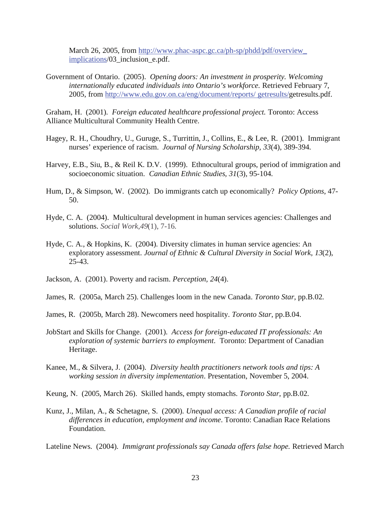March 26, 2005, from http://www.phac-aspc.gc.ca/ph-sp/phdd/pdf/overview implications/03\_inclusion\_e.pdf.

Government of Ontario. (2005). *Opening doors: An investment in prosperity. Welcoming internationally educated individuals into Ontario's workforce.* Retrieved February 7, 2005, from http://www.edu.gov.on.ca/eng/document/reports/ getresults/getresults.pdf.

Graham, H. (2001). *Foreign educated healthcare professional project.* Toronto: Access Alliance Multicultural Community Health Centre.

- Hagey, R. H., Choudhry, U., Guruge, S., Turrittin, J., Collins, E., & Lee, R. (2001). Immigrant nurses' experience of racism. *Journal of Nursing Scholarship, 33*(4), 389-394.
- Harvey, E.B., Siu, B., & Reil K. D.V. (1999). Ethnocultural groups, period of immigration and socioeconomic situation. *Canadian Ethnic Studies, 31*(3), 95-104.
- Hum, D., & Simpson, W. (2002). Do immigrants catch up economically? *Policy Options*, 47- 50.
- Hyde, C. A. (2004). Multicultural development in human services agencies: Challenges and solutions. *Social Work,49*(1), 7-16.
- Hyde, C. A., & Hopkins, K. (2004). Diversity climates in human service agencies: An exploratory assessment. *Journal of Ethnic & Cultural Diversity in Social Work, 13*(2), 25-43.
- Jackson, A. (2001). Poverty and racism. *Perception, 24*(4).
- James, R. (2005a, March 25). Challenges loom in the new Canada. *Toronto Star*, pp.B.02.
- James, R. (2005b, March 28). Newcomers need hospitality. *Toronto Star*, pp.B.04.
- JobStart and Skills for Change. (2001). *Access for foreign-educated IT professionals: An exploration of systemic barriers to employment*. Toronto: Department of Canadian Heritage.
- Kanee, M., & Silvera, J. (2004). *Diversity health practitioners network tools and tips: A working session in diversity implementation*. Presentation, November 5, 2004.
- Keung, N. (2005, March 26). Skilled hands, empty stomachs. *Toronto Star*, pp.B.02.
- Kunz, J., Milan, A., & Schetagne, S. (2000). *Unequal access: A Canadian profile of racial differences in education, employment and income*. Toronto: Canadian Race Relations Foundation.

Lateline News. (2004). *Immigrant professionals say Canada offers false hope.* Retrieved March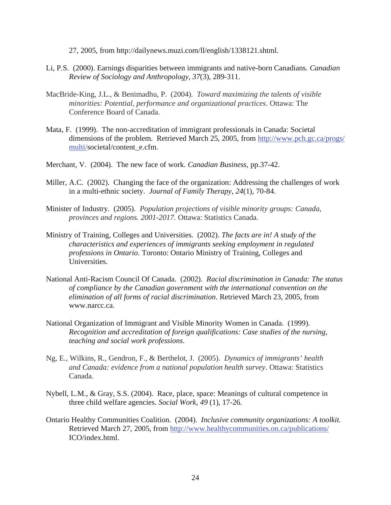27, 2005, from http://dailynews.muzi.com/ll/english/1338121.shtml.

- Li, P.S. (2000). Earnings disparities between immigrants and native-born Canadians. *Canadian Review of Sociology and Anthropology, 37*(3), 289-311.
- MacBride-King, J.L., & Benimadhu, P. (2004). *Toward maximizing the talents of visible minorities: Potential, performance and organizational practices*. Ottawa: The Conference Board of Canada.
- Mata, F. (1999). The non-accreditation of immigrant professionals in Canada: Societal dimensions of the problem. Retrieved March 25, 2005, from http://www.pch.gc.ca/progs/ multi/societal/content\_e.cfm.
- Merchant, V. (2004). The new face of work. *Canadian Business,* pp.37-42.
- Miller, A.C. (2002). Changing the face of the organization: Addressing the challenges of work in a multi-ethnic society. *Journal of Family Therapy, 24*(1), 70-84.
- Minister of Industry. (2005). *Population projections of visible minority groups: Canada, provinces and regions. 2001-2017.* Ottawa: Statistics Canada.
- Ministry of Training, Colleges and Universities. (2002). *The facts are in! A study of the characteristics and experiences of immigrants seeking employment in regulated professions in Ontario*. Toronto: Ontario Ministry of Training, Colleges and Universities.
- National Anti-Racism Council Of Canada. (2002). *Racial discrimination in Canada: The status of compliance by the Canadian government with the international convention on the elimination of all forms of racial discrimination*. Retrieved March 23, 2005, from www.narcc.ca.
- National Organization of Immigrant and Visible Minority Women in Canada. (1999). *Recognition and accreditation of foreign qualifications: Case studies of the nursing, teaching and social work professions*.
- Ng, E., Wilkins, R., Gendron, F., & Berthelot, J. (2005). *Dynamics of immigrants' health and Canada: evidence from a national population health survey*. Ottawa: Statistics Canada.
- Nybell, L.M., & Gray, S.S. (2004). Race, place, space: Meanings of cultural competence in three child welfare agencies. *Social Work, 49* (1), 17-26.
- Ontario Healthy Communities Coalition. (2004). *Inclusive community organizations: A toolkit*. Retrieved March 27, 2005, from http://www.healthycommunities.on.ca/publications/ ICO/index.html.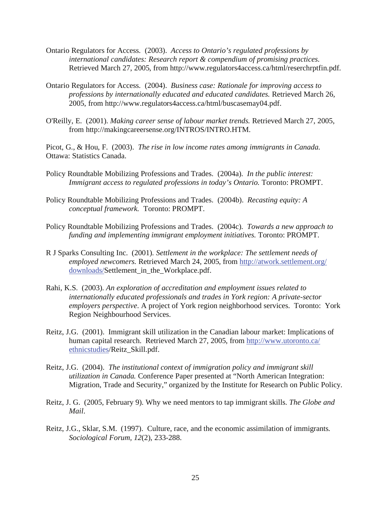- Ontario Regulators for Access. (2003). *Access to Ontario's regulated professions by international candidates: Research report & compendium of promising practices*. Retrieved March 27, 2005, from http://www.regulators4access.ca/html/reserchrptfin.pdf.
- Ontario Regulators for Access. (2004). *Business case: Rationale for improving access to professions by internationally educated and educated candidates.* Retrieved March 26, 2005, from http://www.regulators4access.ca/html/buscasemay04.pdf.
- O'Reilly, E. (2001). *Making career sense of labour market trends.* Retrieved March 27, 2005, from http://makingcareersense.org/INTROS/INTRO.HTM.

Picot, G., & Hou, F. (2003). *The rise in low income rates among immigrants in Canada.* Ottawa: Statistics Canada.

- Policy Roundtable Mobilizing Professions and Trades. (2004a). *In the public interest: Immigrant access to regulated professions in today's Ontario.* Toronto: PROMPT.
- Policy Roundtable Mobilizing Professions and Trades. (2004b). *Recasting equity: A conceptual framework.* Toronto: PROMPT.
- Policy Roundtable Mobilizing Professions and Trades. (2004c). *Towards a new approach to funding and implementing immigrant employment initiatives.* Toronto: PROMPT.
- R J Sparks Consulting Inc. (2001). *Settlement in the workplace: The settlement needs of employed newcomers.* Retrieved March 24, 2005, from http://atwork.settlement.org/ downloads/Settlement\_in\_the\_Workplace.pdf.
- Rahi, K.S. (2003). *An exploration of accreditation and employment issues related to internationally educated professionals and trades in York region: A private-sector employers perspective*. A project of York region neighborhood services. Toronto: York Region Neighbourhood Services.
- Reitz, J.G. (2001). Immigrant skill utilization in the Canadian labour market: Implications of human capital research. Retrieved March 27, 2005, from http://www.utoronto.ca/ ethnicstudies/Reitz\_Skill.pdf.
- Reitz, J.G. (2004). *The institutional context of immigration policy and immigrant skill utilization in Canada.* Conference Paper presented at "North American Integration: Migration, Trade and Security," organized by the Institute for Research on Public Policy.
- Reitz, J. G. (2005, February 9). Why we need mentors to tap immigrant skills. *The Globe and Mail*.
- Reitz, J.G., Sklar, S.M. (1997). Culture, race, and the economic assimilation of immigrants*. Sociological Forum, 12*(2), 233-288.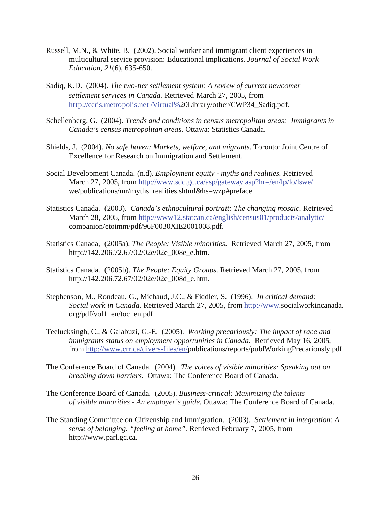- Russell, M.N., & White, B. (2002). Social worker and immigrant client experiences in multicultural service provision: Educational implications. *Journal of Social Work Education, 21*(6), 635-650.
- Sadiq, K.D. (2004). *The two-tier settlement system: A review of current newcomer settlement services in Canada.* Retrieved March 27, 2005, from http://ceris.metropolis.net /Virtual%20Library/other/CWP34\_Sadiq.pdf.
- Schellenberg, G. (2004). *Trends and conditions in census metropolitan areas: Immigrants in Canada's census metropolitan areas*. Ottawa: Statistics Canada.
- Shields, J. (2004). *No safe haven: Markets, welfare, and migrants*. Toronto: Joint Centre of Excellence for Research on Immigration and Settlement.
- Social Development Canada. (n.d). *Employment equity myths and realities*. Retrieved March 27, 2005, from http://www.sdc.gc.ca/asp/gateway.asp?hr=/en/lp/lo/lswe/ we/publications/mr/myths\_realities.shtml&hs=wzp#preface.
- Statistics Canada. (2003). *Canada's ethnocultural portrait: The changing mosaic.* Retrieved March 28, 2005, from http://www12.statcan.ca/english/census01/products/analytic/ companion/etoimm/pdf/96F0030XIE2001008.pdf.
- Statistics Canada, (2005a). *The People: Visible minorities*. Retrieved March 27, 2005, from http://142.206.72.67/02/02e/02e\_008e\_e.htm.
- Statistics Canada. (2005b). *The People: Equity Groups*. Retrieved March 27, 2005, from http://142.206.72.67/02/02e/02e\_008d\_e.htm.
- Stephenson, M., Rondeau, G., Michaud, J.C., & Fiddler, S. (1996). *In critical demand: Social work in Canada.* Retrieved March 27, 2005, from http://www.socialworkincanada. org/pdf/vol1\_en/toc\_en.pdf.
- Teelucksingh, C., & Galabuzi, G.-E. (2005). *Working precariously: The impact of race and immigrants status on employment opportunities in Canada*. Retrieved May 16, 2005, from http://www.crr.ca/divers-files/en/publications/reports/publWorkingPrecariously.pdf.
- The Conference Board of Canada. (2004). *The voices of visible minorities: Speaking out on breaking down barriers.* Ottawa: The Conference Board of Canada.
- The Conference Board of Canada. (2005). *Business-critical: Maximizing the talents of visible minorities - An employer's guide.* Ottawa: The Conference Board of Canada.
- The Standing Committee on Citizenship and Immigration. (2003). *Settlement in integration: A sense of belonging. "feeling at home".* Retrieved February 7, 2005, from http://www.parl.gc.ca.